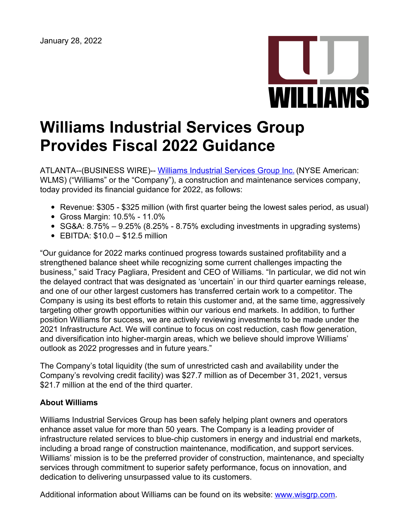January 28, 2022



## **Williams Industrial Services Group Provides Fiscal 2022 Guidance**

ATLANTA--(BUSINESS WIRE)-- Williams [Industrial](http://www.wisgrp.com) Services Group Inc. (NYSE American: WLMS) ("Williams" or the "Company"), a construction and maintenance services company, today provided its financial guidance for 2022, as follows:

- Revenue: \$305 \$325 million (with first quarter being the lowest sales period, as usual)
- Gross Margin: 10.5% 11.0%
- $\bullet$  SG&A: 8.75% 9.25% (8.25% 8.75% excluding investments in upgrading systems)
- $\bullet$  EBITDA:  $$10.0 $12.5$  million

"Our guidance for 2022 marks continued progress towards sustained profitability and a strengthened balance sheet while recognizing some current challenges impacting the business," said Tracy Pagliara, President and CEO of Williams. "In particular, we did not win the delayed contract that was designated as 'uncertain' in our third quarter earnings release, and one of our other largest customers has transferred certain work to a competitor. The Company is using its best efforts to retain this customer and, at the same time, aggressively targeting other growth opportunities within our various end markets. In addition, to further position Williams for success, we are actively reviewing investments to be made under the 2021 Infrastructure Act. We will continue to focus on cost reduction, cash flow generation, and diversification into higher-margin areas, which we believe should improve Williams' outlook as 2022 progresses and in future years."

The Company's total liquidity (the sum of unrestricted cash and availability under the Company's revolving credit facility) was \$27.7 million as of December 31, 2021, versus \$21.7 million at the end of the third quarter.

## **About Williams**

Williams Industrial Services Group has been safely helping plant owners and operators enhance asset value for more than 50 years. The Company is a leading provider of infrastructure related services to blue-chip customers in energy and industrial end markets, including a broad range of construction maintenance, modification, and support services. Williams' mission is to be the preferred provider of construction, maintenance, and specialty services through commitment to superior safety performance, focus on innovation, and dedication to delivering unsurpassed value to its customers.

Additional information about Williams can be found on its website: [www.wisgrp.com.](http://www.wisgrp.com)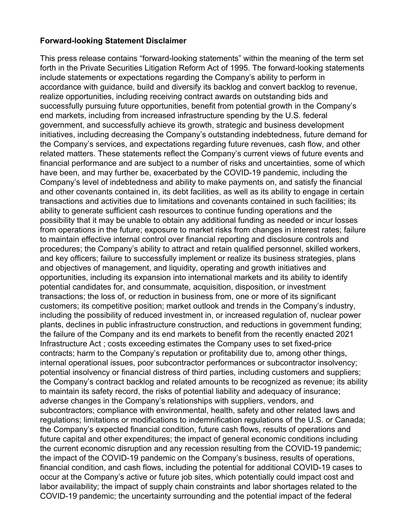## **Forward-looking Statement Disclaimer**

This press release contains "forward-looking statements" within the meaning of the term set forth in the Private Securities Litigation Reform Act of 1995. The forward-looking statements include statements or expectations regarding the Company's ability to perform in accordance with guidance, build and diversify its backlog and convert backlog to revenue, realize opportunities, including receiving contract awards on outstanding bids and successfully pursuing future opportunities, benefit from potential growth in the Company's end markets, including from increased infrastructure spending by the U.S. federal government, and successfully achieve its growth, strategic and business development initiatives, including decreasing the Company's outstanding indebtedness, future demand for the Company's services, and expectations regarding future revenues, cash flow, and other related matters. These statements reflect the Company's current views of future events and financial performance and are subject to a number of risks and uncertainties, some of which have been, and may further be, exacerbated by the COVID-19 pandemic, including the Company's level of indebtedness and ability to make payments on, and satisfy the financial and other covenants contained in, its debt facilities, as well as its ability to engage in certain transactions and activities due to limitations and covenants contained in such facilities; its ability to generate sufficient cash resources to continue funding operations and the possibility that it may be unable to obtain any additional funding as needed or incur losses from operations in the future; exposure to market risks from changes in interest rates; failure to maintain effective internal control over financial reporting and disclosure controls and procedures; the Company's ability to attract and retain qualified personnel, skilled workers, and key officers; failure to successfully implement or realize its business strategies, plans and objectives of management, and liquidity, operating and growth initiatives and opportunities, including its expansion into international markets and its ability to identify potential candidates for, and consummate, acquisition, disposition, or investment transactions; the loss of, or reduction in business from, one or more of its significant customers; its competitive position; market outlook and trends in the Company's industry, including the possibility of reduced investment in, or increased regulation of, nuclear power plants, declines in public infrastructure construction, and reductions in government funding; the failure of the Company and its end markets to benefit from the recently enacted 2021 Infrastructure Act ; costs exceeding estimates the Company uses to set fixed-price contracts; harm to the Company's reputation or profitability due to, among other things, internal operational issues, poor subcontractor performances or subcontractor insolvency; potential insolvency or financial distress of third parties, including customers and suppliers; the Company's contract backlog and related amounts to be recognized as revenue; its ability to maintain its safety record, the risks of potential liability and adequacy of insurance; adverse changes in the Company's relationships with suppliers, vendors, and subcontractors; compliance with environmental, health, safety and other related laws and regulations; limitations or modifications to indemnification regulations of the U.S. or Canada; the Company's expected financial condition, future cash flows, results of operations and future capital and other expenditures; the impact of general economic conditions including the current economic disruption and any recession resulting from the COVID-19 pandemic; the impact of the COVID-19 pandemic on the Company's business, results of operations, financial condition, and cash flows, including the potential for additional COVID-19 cases to occur at the Company's active or future job sites, which potentially could impact cost and labor availability; the impact of supply chain constraints and labor shortages related to the COVID-19 pandemic; the uncertainty surrounding and the potential impact of the federal